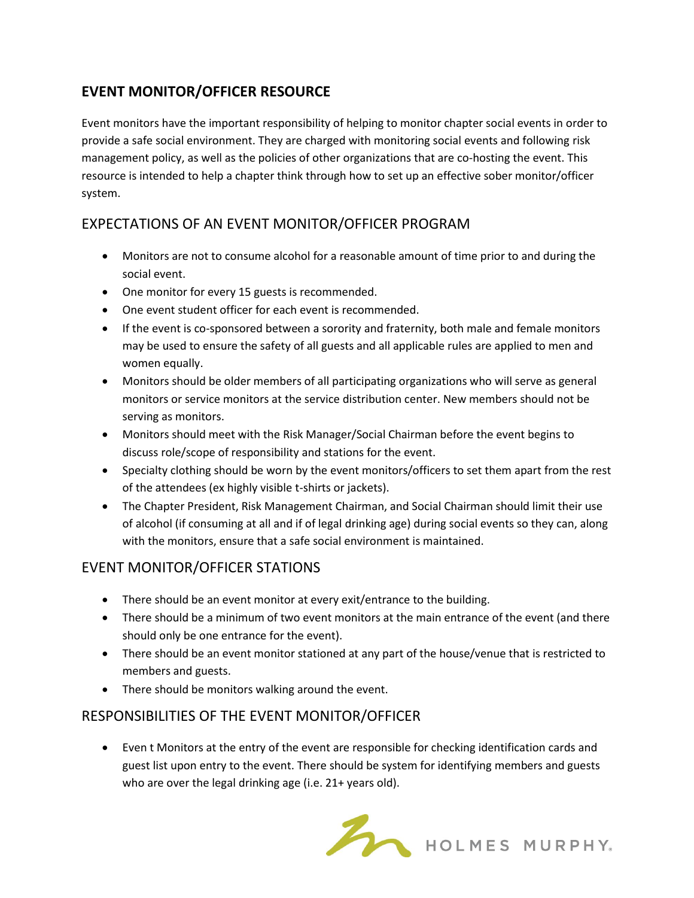# **EVENT MONITOR/OFFICER RESOURCE**

Event monitors have the important responsibility of helping to monitor chapter social events in order to provide a safe social environment. They are charged with monitoring social events and following risk management policy, as well as the policies of other organizations that are co-hosting the event. This resource is intended to help a chapter think through how to set up an effective sober monitor/officer system.

## EXPECTATIONS OF AN EVENT MONITOR/OFFICER PROGRAM

- Monitors are not to consume alcohol for a reasonable amount of time prior to and during the social event.
- One monitor for every 15 guests is recommended.
- One event student officer for each event is recommended.
- If the event is co-sponsored between a sorority and fraternity, both male and female monitors may be used to ensure the safety of all guests and all applicable rules are applied to men and women equally.
- Monitors should be older members of all participating organizations who will serve as general monitors or service monitors at the service distribution center. New members should not be serving as monitors.
- Monitors should meet with the Risk Manager/Social Chairman before the event begins to discuss role/scope of responsibility and stations for the event.
- Specialty clothing should be worn by the event monitors/officers to set them apart from the rest of the attendees (ex highly visible t-shirts or jackets).
- The Chapter President, Risk Management Chairman, and Social Chairman should limit their use of alcohol (if consuming at all and if of legal drinking age) during social events so they can, along with the monitors, ensure that a safe social environment is maintained.

## EVENT MONITOR/OFFICER STATIONS

- There should be an event monitor at every exit/entrance to the building.
- There should be a minimum of two event monitors at the main entrance of the event (and there should only be one entrance for the event).
- There should be an event monitor stationed at any part of the house/venue that is restricted to members and guests.
- There should be monitors walking around the event.

### RESPONSIBILITIES OF THE EVENT MONITOR/OFFICER

• Even t Monitors at the entry of the event are responsible for checking identification cards and guest list upon entry to the event. There should be system for identifying members and guests who are over the legal drinking age (i.e. 21+ years old).